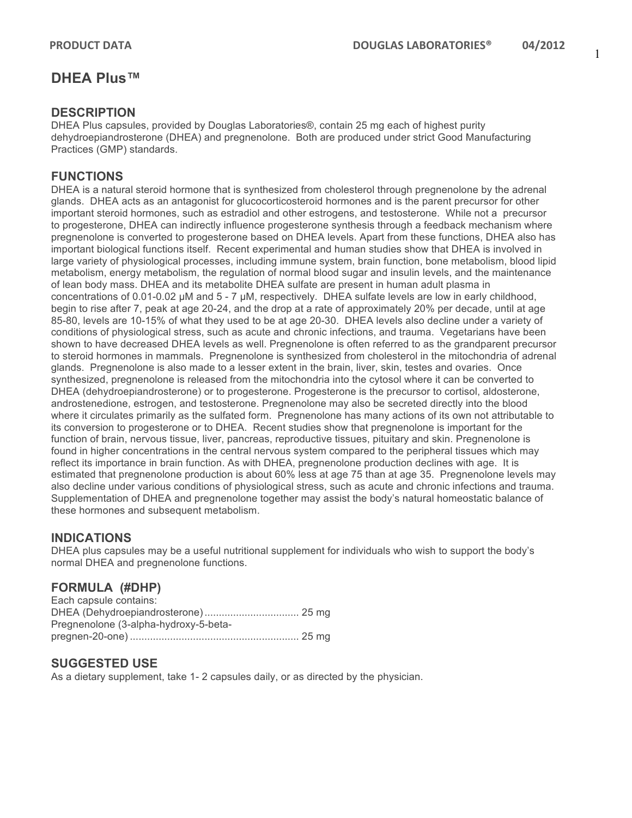1

# **DHEA Plus™**

### **DESCRIPTION**

DHEA Plus capsules, provided by Douglas Laboratories®, contain 25 mg each of highest purity dehydroepiandrosterone (DHEA) and pregnenolone. Both are produced under strict Good Manufacturing Practices (GMP) standards.

#### **FUNCTIONS**

DHEA is a natural steroid hormone that is synthesized from cholesterol through pregnenolone by the adrenal glands. DHEA acts as an antagonist for glucocorticosteroid hormones and is the parent precursor for other important steroid hormones, such as estradiol and other estrogens, and testosterone. While not a precursor to progesterone, DHEA can indirectly influence progesterone synthesis through a feedback mechanism where pregnenolone is converted to progesterone based on DHEA levels. Apart from these functions, DHEA also has important biological functions itself. Recent experimental and human studies show that DHEA is involved in large variety of physiological processes, including immune system, brain function, bone metabolism, blood lipid metabolism, energy metabolism, the regulation of normal blood sugar and insulin levels, and the maintenance of lean body mass. DHEA and its metabolite DHEA sulfate are present in human adult plasma in concentrations of 0.01-0.02 µM and 5 - 7 µM, respectively. DHEA sulfate levels are low in early childhood, begin to rise after 7, peak at age 20-24, and the drop at a rate of approximately 20% per decade, until at age 85-80, levels are 10-15% of what they used to be at age 20-30. DHEA levels also decline under a variety of conditions of physiological stress, such as acute and chronic infections, and trauma. Vegetarians have been shown to have decreased DHEA levels as well. Pregnenolone is often referred to as the grandparent precursor to steroid hormones in mammals. Pregnenolone is synthesized from cholesterol in the mitochondria of adrenal glands. Pregnenolone is also made to a lesser extent in the brain, liver, skin, testes and ovaries. Once synthesized, pregnenolone is released from the mitochondria into the cytosol where it can be converted to DHEA (dehydroepiandrosterone) or to progesterone. Progesterone is the precursor to cortisol, aldosterone, androstenedione, estrogen, and testosterone. Pregnenolone may also be secreted directly into the blood where it circulates primarily as the sulfated form. Pregnenolone has many actions of its own not attributable to its conversion to progesterone or to DHEA. Recent studies show that pregnenolone is important for the function of brain, nervous tissue, liver, pancreas, reproductive tissues, pituitary and skin. Pregnenolone is found in higher concentrations in the central nervous system compared to the peripheral tissues which may reflect its importance in brain function. As with DHEA, pregnenolone production declines with age. It is estimated that pregnenolone production is about 60% less at age 75 than at age 35. Pregnenolone levels may also decline under various conditions of physiological stress, such as acute and chronic infections and trauma. Supplementation of DHEA and pregnenolone together may assist the body's natural homeostatic balance of these hormones and subsequent metabolism.

## **INDICATIONS**

DHEA plus capsules may be a useful nutritional supplement for individuals who wish to support the body's normal DHEA and pregnenolone functions.

## **FORMULA (#DHP)**

| Each capsule contains:                |  |
|---------------------------------------|--|
|                                       |  |
| Pregnenolone (3-alpha-hydroxy-5-beta- |  |
|                                       |  |

## **SUGGESTED USE**

As a dietary supplement, take 1- 2 capsules daily, or as directed by the physician.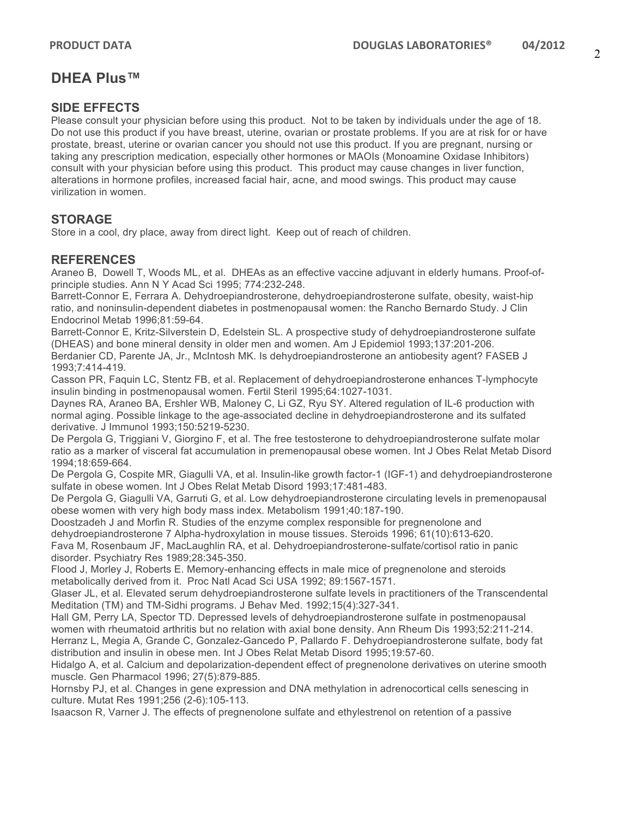# **DHEA Plus™**

#### **SIDE EFFECTS**

Please consult your physician before using this product. Not to be taken by individuals under the age of 18. Do not use this product if you have breast, uterine, ovarian or prostate problems. If you are at risk for or have prostate, breast, uterine or ovarian cancer you should not use this product. If you are pregnant, nursing or taking any prescription medication, especially other hormones or MAOIs (Monoamine Oxidase Inhibitors) consult with your physician before using this product. This product may cause changes in liver function, alterations in hormone profiles, increased facial hair, acne, and mood swings. This product may cause virilization in women.

#### **STORAGE**

Store in a cool, dry place, away from direct light. Keep out of reach of children.

#### **REFERENCES**

Araneo B, Dowell T, Woods ML, et al. DHEAs as an effective vaccine adjuvant in elderly humans. Proof-ofprinciple studies. Ann N Y Acad Sci 1995; 774:232-248.

Barrett-Connor E, Ferrara A. Dehydroepiandrosterone, dehydroepiandrosterone sulfate, obesity, waist-hip ratio, and noninsulin-dependent diabetes in postmenopausal women: the Rancho Bernardo Study. J Clin Endocrinol Metab 1996;81:59-64.

Barrett-Connor E, Kritz-Silverstein D, Edelstein SL. A prospective study of dehydroepiandrosterone sulfate (DHEAS) and bone mineral density in older men and women. Am J Epidemiol 1993;137:201-206.

Berdanier CD, Parente JA, Jr., McIntosh MK. Is dehydroepiandrosterone an antiobesity agent? FASEB J 1993;7:414-419.

Casson PR, Faquin LC, Stentz FB, et al. Replacement of dehydroepiandrosterone enhances T-lymphocyte insulin binding in postmenopausal women. Fertil Steril 1995;64:1027-1031.

Daynes RA, Araneo BA, Ershler WB, Maloney C, Li GZ, Ryu SY. Altered regulation of IL-6 production with normal aging. Possible linkage to the age-associated decline in dehydroepiandrosterone and its sulfated derivative. J Immunol 1993;150:5219-5230.

De Pergola G, Triggiani V, Giorgino F, et al. The free testosterone to dehydroepiandrosterone sulfate molar ratio as a marker of visceral fat accumulation in premenopausal obese women. Int J Obes Relat Metab Disord 1994;18:659-664.

De Pergola G, Cospite MR, Giagulli VA, et al. Insulin-like growth factor-1 (IGF-1) and dehydroepiandrosterone sulfate in obese women. Int J Obes Relat Metab Disord 1993;17:481-483.

De Pergola G, Giagulli VA, Garruti G, et al. Low dehydroepiandrosterone circulating levels in premenopausal obese women with very high body mass index. Metabolism 1991;40:187-190.

Doostzadeh J and Morfin R. Studies of the enzyme complex responsible for pregnenolone and dehydroepiandrosterone 7 Alpha-hydroxylation in mouse tissues. Steroids 1996; 61(10):613-620.

Fava M, Rosenbaum JF, MacLaughlin RA, et al. Dehydroepiandrosterone-sulfate/cortisol ratio in panic

disorder. Psychiatry Res 1989;28:345-350.

Flood J, Morley J, Roberts E. Memory-enhancing effects in male mice of pregnenolone and steroids metabolically derived from it. Proc Natl Acad Sci USA 1992; 89:1567-1571.

Glaser JL, et al. Elevated serum dehydroepiandrosterone sulfate levels in practitioners of the Transcendental Meditation (TM) and TM-Sidhi programs. J Behav Med. 1992;15(4):327-341.

Hall GM, Perry LA, Spector TD. Depressed levels of dehydroepiandrosterone sulfate in postmenopausal women with rheumatoid arthritis but no relation with axial bone density. Ann Rheum Dis 1993;52:211-214. Herranz L, Megia A, Grande C, Gonzalez-Gancedo P, Pallardo F. Dehydroepiandrosterone sulfate, body fat distribution and insulin in obese men. Int J Obes Relat Metab Disord 1995;19:57-60.

Hidalgo A, et al. Calcium and depolarization-dependent effect of pregnenolone derivatives on uterine smooth muscle. Gen Pharmacol 1996; 27(5):879-885.

Hornsby PJ, et al. Changes in gene expression and DNA methylation in adrenocortical cells senescing in culture. Mutat Res 1991;256 (2-6):105-113.

Isaacson R, Varner J. The effects of pregnenolone sulfate and ethylestrenol on retention of a passive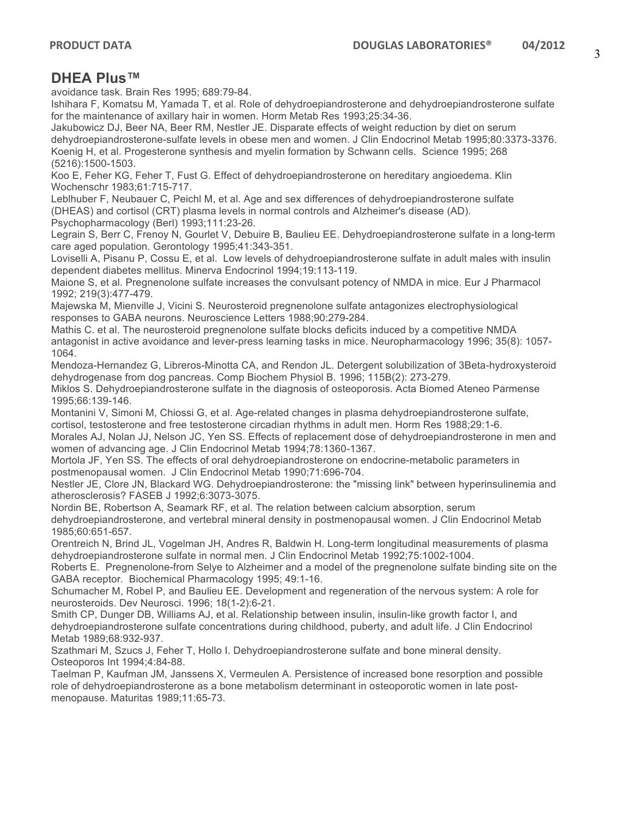# **DHEA Plus™**

avoidance task. Brain Res 1995; 689:79-84.

Ishihara F, Komatsu M, Yamada T, et al. Role of dehydroepiandrosterone and dehydroepiandrosterone sulfate for the maintenance of axillary hair in women. Horm Metab Res 1993;25:34-36.

Jakubowicz DJ, Beer NA, Beer RM, Nestler JE. Disparate effects of weight reduction by diet on serum dehydroepiandrosterone-sulfate levels in obese men and women. J Clin Endocrinol Metab 1995;80:3373-3376. Koenig H, et al. Progesterone synthesis and myelin formation by Schwann cells. Science 1995; 268 (5216):1500-1503.

Koo E, Feher KG, Feher T, Fust G. Effect of dehydroepiandrosterone on hereditary angioedema. Klin Wochenschr 1983;61:715-717.

Leblhuber F, Neubauer C, Peichl M, et al. Age and sex differences of dehydroepiandrosterone sulfate (DHEAS) and cortisol (CRT) plasma levels in normal controls and Alzheimer's disease (AD). Psychopharmacology (Berl) 1993;111:23-26.

Legrain S, Berr C, Frenoy N, Gourlet V, Debuire B, Baulieu EE. Dehydroepiandrosterone sulfate in a long-term care aged population. Gerontology 1995;41:343-351.

Loviselli A, Pisanu P, Cossu E, et al. Low levels of dehydroepiandrosterone sulfate in adult males with insulin dependent diabetes mellitus. Minerva Endocrinol 1994;19:113-119.

Maione S, et al. Pregnenolone sulfate increases the convulsant potency of NMDA in mice. Eur J Pharmacol 1992; 219(3):477-479.

Majewska M, Mienville J, Vicini S. Neurosteroid pregnenolone sulfate antagonizes electrophysiological responses to GABA neurons. Neuroscience Letters 1988;90:279-284.

Mathis C. et al. The neurosteroid pregnenolone sulfate blocks deficits induced by a competitive NMDA antagonist in active avoidance and lever-press learning tasks in mice. Neuropharmacology 1996; 35(8): 1057- 1064.

Mendoza-Hernandez G, Libreros-Minotta CA, and Rendon JL. Detergent solubilization of 3Beta-hydroxysteroid dehydrogenase from dog pancreas. Comp Biochem Physiol B. 1996; 115B(2): 273-279.

Miklos S. Dehydroepiandrosterone sulfate in the diagnosis of osteoporosis. Acta Biomed Ateneo Parmense 1995;66:139-146.

Montanini V, Simoni M, Chiossi G, et al. Age-related changes in plasma dehydroepiandrosterone sulfate, cortisol, testosterone and free testosterone circadian rhythms in adult men. Horm Res 1988;29:1-6.

Morales AJ, Nolan JJ, Nelson JC, Yen SS. Effects of replacement dose of dehydroepiandrosterone in men and women of advancing age. J Clin Endocrinol Metab 1994;78:1360-1367.

Mortola JF, Yen SS. The effects of oral dehydroepiandrosterone on endocrine-metabolic parameters in postmenopausal women. J Clin Endocrinol Metab 1990;71:696-704.

Nestler JE, Clore JN, Blackard WG. Dehydroepiandrosterone: the "missing link" between hyperinsulinemia and atherosclerosis? FASEB J 1992;6:3073-3075.

Nordin BE, Robertson A, Seamark RF, et al. The relation between calcium absorption, serum dehydroepiandrosterone, and vertebral mineral density in postmenopausal women. J Clin Endocrinol Metab 1985;60:651-657.

Orentreich N, Brind JL, Vogelman JH, Andres R, Baldwin H. Long-term longitudinal measurements of plasma dehydroepiandrosterone sulfate in normal men. J Clin Endocrinol Metab 1992;75:1002-1004.

Roberts E. Pregnenolone-from Selye to Alzheimer and a model of the pregnenolone sulfate binding site on the GABA receptor. Biochemical Pharmacology 1995; 49:1-16.

Schumacher M, Robel P, and Baulieu EE. Development and regeneration of the nervous system: A role for neurosteroids. Dev Neurosci. 1996; 18(1-2):6-21.

Smith CP, Dunger DB, Williams AJ, et al. Relationship between insulin, insulin-like growth factor I, and dehydroepiandrosterone sulfate concentrations during childhood, puberty, and adult life. J Clin Endocrinol Metab 1989;68:932-937.

Szathmari M, Szucs J, Feher T, Hollo I. Dehydroepiandrosterone sulfate and bone mineral density. Osteoporos Int 1994;4:84-88.

Taelman P, Kaufman JM, Janssens X, Vermeulen A. Persistence of increased bone resorption and possible role of dehydroepiandrosterone as a bone metabolism determinant in osteoporotic women in late postmenopause. Maturitas 1989;11:65-73.